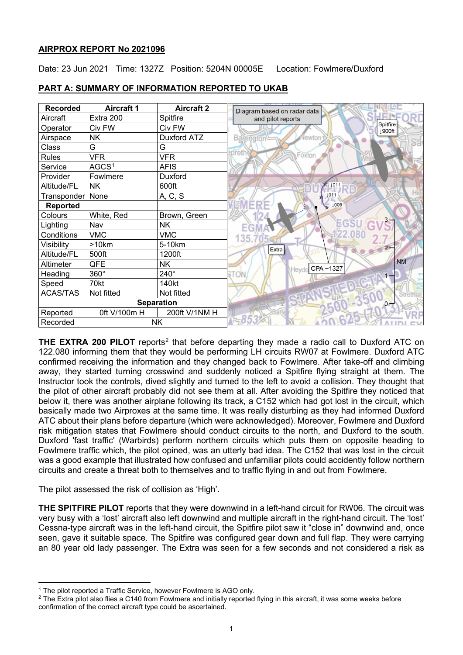# **AIRPROX REPORT No 2021096**

Date: 23 Jun 2021 Time: 1327Z Position: 5204N 00005E Location: Fowlmere/Duxford

| <b>Recorded</b>   | <b>Aircraft 1</b> | <b>Aircraft 2</b> | Diagram based on radar data     |
|-------------------|-------------------|-------------------|---------------------------------|
| Aircraft          | Extra 200         | Spitfire          | and pilot reports               |
| Operator          | Civ FW            | Civ FW            |                                 |
| Airspace          | <b>NK</b>         | Duxford ATZ       | Vewton<br>Barngton <sup>1</sup> |
| Class             | G                 | G                 |                                 |
| <b>Rules</b>      | <b>VFR</b>        | <b>VFR</b>        | Foxton                          |
| Service           | AGCS <sup>1</sup> | <b>AFIS</b>       |                                 |
| Provider          | Fowlmere          | Duxford           |                                 |
| Altitude/FL       | <b>NK</b>         | 600ft             | 1011                            |
| Transponder       | None              | A, C, S           | 1011                            |
| <b>Reported</b>   |                   |                   | $1008$                          |
| Colours           | White, Red        | Brown, Green      |                                 |
| Lighting          | Nav               | <b>NK</b>         |                                 |
| Conditions        | <b>VMC</b>        | <b>VMC</b>        | 135.                            |
| Visibility        | >10km             | 5-10km            | Extra                           |
| Altitude/FL       | 500ft             | 1200ft            |                                 |
| Altimeter         | QFE               | <b>NK</b>         | CPA~1327                        |
| Heading           | 360°              | $240^\circ$       | Heydo<br>ON.                    |
| Speed             | 70kt              | 140kt             |                                 |
| <b>ACAS/TAS</b>   | Not fitted        | Not fitted        |                                 |
| <b>Separation</b> |                   |                   |                                 |
| Reported          | 0ft V/100m H      | 200ft V/1NM H     |                                 |
| Recorded          |                   | <b>NK</b>         |                                 |

# **PART A: SUMMARY OF INFORMATION REPORTED TO UKAB**

**THE EXTRA [2](#page-0-1)00 PILOT** reports<sup>2</sup> that before departing they made a radio call to Duxford ATC on 122.080 informing them that they would be performing LH circuits RW07 at Fowlmere. Duxford ATC confirmed receiving the information and they changed back to Fowlmere. After take-off and climbing away, they started turning crosswind and suddenly noticed a Spitfire flying straight at them. The Instructor took the controls, dived slightly and turned to the left to avoid a collision. They thought that the pilot of other aircraft probably did not see them at all. After avoiding the Spitfire they noticed that below it, there was another airplane following its track, a C152 which had got lost in the circuit, which basically made two Airproxes at the same time. It was really disturbing as they had informed Duxford ATC about their plans before departure (which were acknowledged). Moreover, Fowlmere and Duxford risk mitigation states that Fowlmere should conduct circuits to the north, and Duxford to the south. Duxford 'fast traffic' (Warbirds) perform northern circuits which puts them on opposite heading to Fowlmere traffic which, the pilot opined, was an utterly bad idea. The C152 that was lost in the circuit was a good example that illustrated how confused and unfamiliar pilots could accidently follow northern circuits and create a threat both to themselves and to traffic flying in and out from Fowlmere.

The pilot assessed the risk of collision as 'High'.

**THE SPITFIRE PILOT** reports that they were downwind in a left-hand circuit for RW06. The circuit was very busy with a 'lost' aircraft also left downwind and multiple aircraft in the right-hand circuit. The 'lost' Cessna-type aircraft was in the left-hand circuit, the Spitfire pilot saw it "close in" downwind and, once seen, gave it suitable space. The Spitfire was configured gear down and full flap. They were carrying an 80 year old lady passenger. The Extra was seen for a few seconds and not considered a risk as

<span id="page-0-0"></span><sup>&</sup>lt;sup>1</sup> The pilot reported a Traffic Service, however Fowlmere is AGO only.

<span id="page-0-1"></span> $2$  The Extra pilot also flies a C140 from Fowlmere and initially reported flying in this aircraft, it was some weeks before confirmation of the correct aircraft type could be ascertained.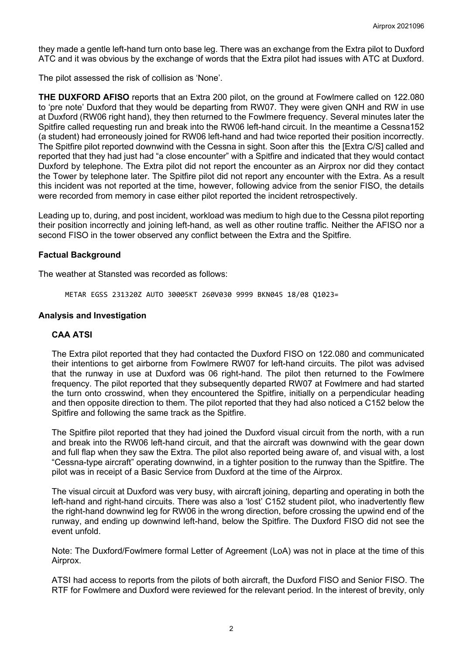they made a gentle left-hand turn onto base leg. There was an exchange from the Extra pilot to Duxford ATC and it was obvious by the exchange of words that the Extra pilot had issues with ATC at Duxford.

The pilot assessed the risk of collision as 'None'.

**THE DUXFORD AFISO** reports that an Extra 200 pilot, on the ground at Fowlmere called on 122.080 to 'pre note' Duxford that they would be departing from RW07. They were given QNH and RW in use at Duxford (RW06 right hand), they then returned to the Fowlmere frequency. Several minutes later the Spitfire called requesting run and break into the RW06 left-hand circuit. In the meantime a Cessna152 (a student) had erroneously joined for RW06 left-hand and had twice reported their position incorrectly. The Spitfire pilot reported downwind with the Cessna in sight. Soon after this the [Extra C/S] called and reported that they had just had "a close encounter" with a Spitfire and indicated that they would contact Duxford by telephone. The Extra pilot did not report the encounter as an Airprox nor did they contact the Tower by telephone later. The Spitfire pilot did not report any encounter with the Extra. As a result this incident was not reported at the time, however, following advice from the senior FISO, the details were recorded from memory in case either pilot reported the incident retrospectively.

Leading up to, during, and post incident, workload was medium to high due to the Cessna pilot reporting their position incorrectly and joining left-hand, as well as other routine traffic. Neither the AFISO nor a second FISO in the tower observed any conflict between the Extra and the Spitfire.

## **Factual Background**

The weather at Stansted was recorded as follows:

METAR EGSS 231320Z AUTO 30005KT 260V030 9999 BKN045 18/08 Q1023=

## **Analysis and Investigation**

# **CAA ATSI**

The Extra pilot reported that they had contacted the Duxford FISO on 122.080 and communicated their intentions to get airborne from Fowlmere RW07 for left-hand circuits. The pilot was advised that the runway in use at Duxford was 06 right-hand. The pilot then returned to the Fowlmere frequency. The pilot reported that they subsequently departed RW07 at Fowlmere and had started the turn onto crosswind, when they encountered the Spitfire, initially on a perpendicular heading and then opposite direction to them. The pilot reported that they had also noticed a C152 below the Spitfire and following the same track as the Spitfire.

The Spitfire pilot reported that they had joined the Duxford visual circuit from the north, with a run and break into the RW06 left-hand circuit, and that the aircraft was downwind with the gear down and full flap when they saw the Extra. The pilot also reported being aware of, and visual with, a lost "Cessna-type aircraft" operating downwind, in a tighter position to the runway than the Spitfire. The pilot was in receipt of a Basic Service from Duxford at the time of the Airprox.

The visual circuit at Duxford was very busy, with aircraft joining, departing and operating in both the left-hand and right-hand circuits. There was also a 'lost' C152 student pilot, who inadvertently flew the right-hand downwind leg for RW06 in the wrong direction, before crossing the upwind end of the runway, and ending up downwind left-hand, below the Spitfire. The Duxford FISO did not see the event unfold.

Note: The Duxford/Fowlmere formal Letter of Agreement (LoA) was not in place at the time of this Airprox.

ATSI had access to reports from the pilots of both aircraft, the Duxford FISO and Senior FISO. The RTF for Fowlmere and Duxford were reviewed for the relevant period. In the interest of brevity, only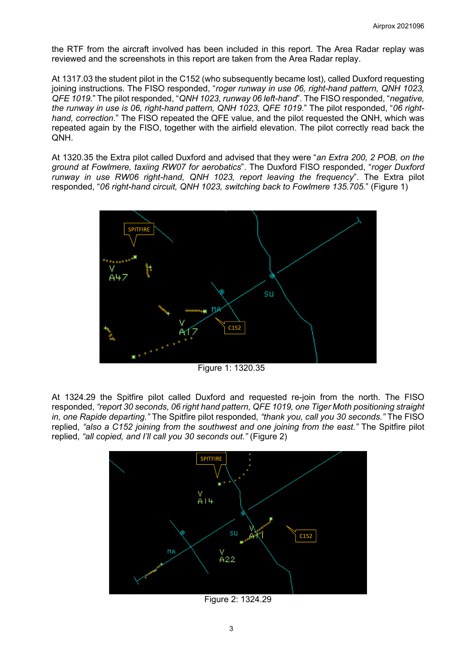the RTF from the aircraft involved has been included in this report. The Area Radar replay was reviewed and the screenshots in this report are taken from the Area Radar replay.

At 1317.03 the student pilot in the C152 (who subsequently became lost), called Duxford requesting joining instructions. The FISO responded, "*roger runway in use 06, right-hand pattern, QNH 1023, QFE 1019*." The pilot responded, "*QNH 1023, runway 06 left-hand*". The FISO responded, "*negative, the runway in use is 06, right-hand pattern, QNH 1023, QFE 1019*." The pilot responded, "*06 righthand, correction*." The FISO repeated the QFE value, and the pilot requested the QNH, which was repeated again by the FISO, together with the airfield elevation. The pilot correctly read back the QNH.

At 1320.35 the Extra pilot called Duxford and advised that they were "*an Extra 200, 2 POB, on the ground at Fowlmere, taxiing RW07 for aerobatics*". The Duxford FISO responded, "*roger Duxford runway in use RW06 right-hand, QNH 1023, report leaving the frequency*". The Extra pilot responded, "*06 right-hand circuit, QNH 1023, switching back to Fowlmere 135.705.*" (Figure 1)



Figure 1: 1320.35

At 1324.29 the Spitfire pilot called Duxford and requested re-join from the north. The FISO responded, *"report 30 seconds, 06 right hand pattern, QFE 1019, one Tiger Moth positioning straight in, one Rapide departing."* The Spitfire pilot responded*, "thank you, call you 30 seconds."* The FISO replied, *"also a C152 joining from the southwest and one joining from the east."* The Spitfire pilot replied, *"all copied, and I'll call you 30 seconds out."* (Figure 2)



Figure 2: 1324.29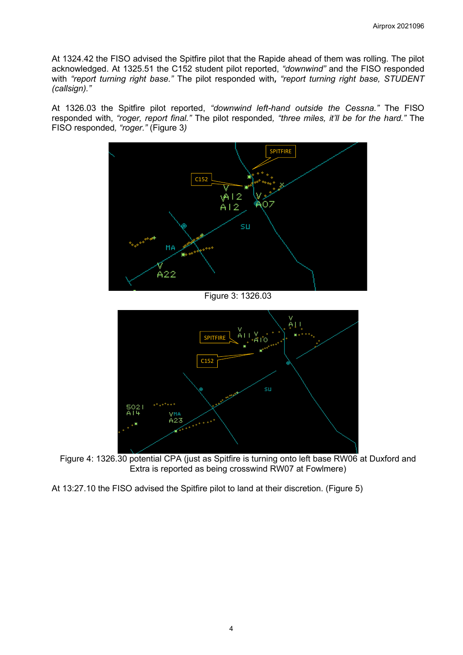At 1324.42 the FISO advised the Spitfire pilot that the Rapide ahead of them was rolling. The pilot acknowledged. At 1325.51 the C152 student pilot reported, *"downwind"* and the FISO responded with *"report turning right base."* The pilot responded with*, "report turning right base, STUDENT (callsign)."*

At 1326.03 the Spitfire pilot reported, *"downwind left-hand outside the Cessna."* The FISO responded with, *"roger, report final."* The pilot responded*, "three miles, it'll be for the hard."* The FISO responded*, "roger."* (Figure 3*)*



Figure 3: 1326.03



Figure 4: 1326.30 potential CPA (just as Spitfire is turning onto left base RW06 at Duxford and Extra is reported as being crosswind RW07 at Fowlmere)

At 13:27.10 the FISO advised the Spitfire pilot to land at their discretion. (Figure 5)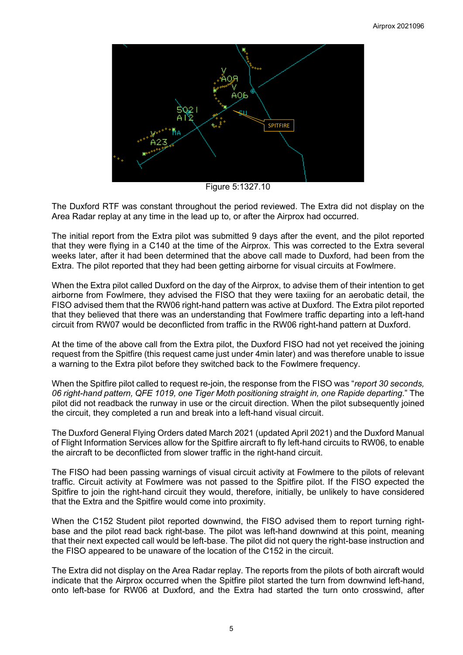

Figure 5:1327.10

The Duxford RTF was constant throughout the period reviewed. The Extra did not display on the Area Radar replay at any time in the lead up to, or after the Airprox had occurred.

The initial report from the Extra pilot was submitted 9 days after the event, and the pilot reported that they were flying in a C140 at the time of the Airprox. This was corrected to the Extra several weeks later, after it had been determined that the above call made to Duxford, had been from the Extra. The pilot reported that they had been getting airborne for visual circuits at Fowlmere.

When the Extra pilot called Duxford on the day of the Airprox, to advise them of their intention to get airborne from Fowlmere, they advised the FISO that they were taxiing for an aerobatic detail, the FISO advised them that the RW06 right-hand pattern was active at Duxford. The Extra pilot reported that they believed that there was an understanding that Fowlmere traffic departing into a left-hand circuit from RW07 would be deconflicted from traffic in the RW06 right-hand pattern at Duxford.

At the time of the above call from the Extra pilot, the Duxford FISO had not yet received the joining request from the Spitfire (this request came just under 4min later) and was therefore unable to issue a warning to the Extra pilot before they switched back to the Fowlmere frequency.

When the Spitfire pilot called to request re-join, the response from the FISO was "*report 30 seconds, 06 right-hand pattern, QFE 1019, one Tiger Moth positioning straight in, one Rapide departing*." The pilot did not readback the runway in use or the circuit direction. When the pilot subsequently joined the circuit, they completed a run and break into a left-hand visual circuit.

The Duxford General Flying Orders dated March 2021 (updated April 2021) and the Duxford Manual of Flight Information Services allow for the Spitfire aircraft to fly left-hand circuits to RW06, to enable the aircraft to be deconflicted from slower traffic in the right-hand circuit.

The FISO had been passing warnings of visual circuit activity at Fowlmere to the pilots of relevant traffic. Circuit activity at Fowlmere was not passed to the Spitfire pilot. If the FISO expected the Spitfire to join the right-hand circuit they would, therefore, initially, be unlikely to have considered that the Extra and the Spitfire would come into proximity.

When the C152 Student pilot reported downwind, the FISO advised them to report turning rightbase and the pilot read back right-base. The pilot was left-hand downwind at this point, meaning that their next expected call would be left-base. The pilot did not query the right-base instruction and the FISO appeared to be unaware of the location of the C152 in the circuit.

The Extra did not display on the Area Radar replay. The reports from the pilots of both aircraft would indicate that the Airprox occurred when the Spitfire pilot started the turn from downwind left-hand, onto left-base for RW06 at Duxford, and the Extra had started the turn onto crosswind, after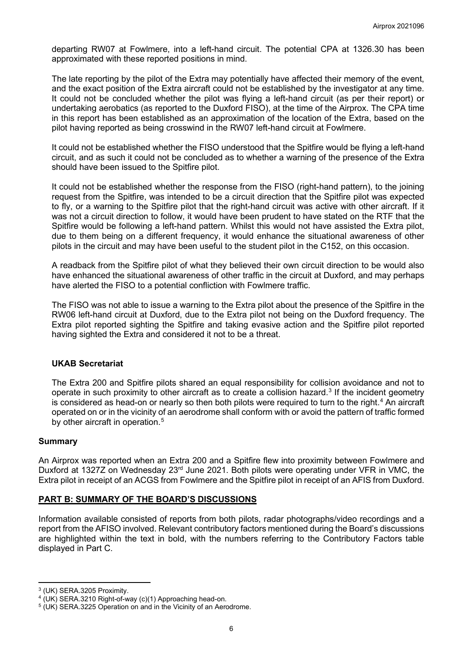departing RW07 at Fowlmere, into a left-hand circuit. The potential CPA at 1326.30 has been approximated with these reported positions in mind.

The late reporting by the pilot of the Extra may potentially have affected their memory of the event, and the exact position of the Extra aircraft could not be established by the investigator at any time. It could not be concluded whether the pilot was flying a left-hand circuit (as per their report) or undertaking aerobatics (as reported to the Duxford FISO), at the time of the Airprox. The CPA time in this report has been established as an approximation of the location of the Extra, based on the pilot having reported as being crosswind in the RW07 left-hand circuit at Fowlmere.

It could not be established whether the FISO understood that the Spitfire would be flying a left-hand circuit, and as such it could not be concluded as to whether a warning of the presence of the Extra should have been issued to the Spitfire pilot.

It could not be established whether the response from the FISO (right-hand pattern), to the joining request from the Spitfire, was intended to be a circuit direction that the Spitfire pilot was expected to fly, or a warning to the Spitfire pilot that the right-hand circuit was active with other aircraft. If it was not a circuit direction to follow, it would have been prudent to have stated on the RTF that the Spitfire would be following a left-hand pattern. Whilst this would not have assisted the Extra pilot, due to them being on a different frequency, it would enhance the situational awareness of other pilots in the circuit and may have been useful to the student pilot in the C152, on this occasion.

A readback from the Spitfire pilot of what they believed their own circuit direction to be would also have enhanced the situational awareness of other traffic in the circuit at Duxford, and may perhaps have alerted the FISO to a potential confliction with Fowlmere traffic.

The FISO was not able to issue a warning to the Extra pilot about the presence of the Spitfire in the RW06 left-hand circuit at Duxford, due to the Extra pilot not being on the Duxford frequency. The Extra pilot reported sighting the Spitfire and taking evasive action and the Spitfire pilot reported having sighted the Extra and considered it not to be a threat.

#### **UKAB Secretariat**

The Extra 200 and Spitfire pilots shared an equal responsibility for collision avoidance and not to operate in such proximity to other aircraft as to create a collision hazard. [3](#page-5-0) If the incident geometry is considered as head-on or nearly so then both pilots were required to turn to the right. $^4$  $^4$  An aircraft operated on or in the vicinity of an aerodrome shall conform with or avoid the pattern of traffic formed by other aircraft in operation.<sup>[5](#page-5-2)</sup>

#### **Summary**

An Airprox was reported when an Extra 200 and a Spitfire flew into proximity between Fowlmere and Duxford at 1327Z on Wednesday 23<sup>rd</sup> June 2021. Both pilots were operating under VFR in VMC, the Extra pilot in receipt of an ACGS from Fowlmere and the Spitfire pilot in receipt of an AFIS from Duxford.

# **PART B: SUMMARY OF THE BOARD'S DISCUSSIONS**

Information available consisted of reports from both pilots, radar photographs/video recordings and a report from the AFISO involved. Relevant contributory factors mentioned during the Board's discussions are highlighted within the text in bold, with the numbers referring to the Contributory Factors table displayed in Part C.

<span id="page-5-1"></span><span id="page-5-0"></span><sup>&</sup>lt;sup>3</sup> (UK) SERA.3205 Proximity.<br><sup>4</sup> (UK) SERA.3210 Right-of-way (c)(1) Approaching head-on.<br><sup>5</sup> (UK) SERA.3225 Operation on and in the Vicinity of an Aerodrome.

<span id="page-5-2"></span>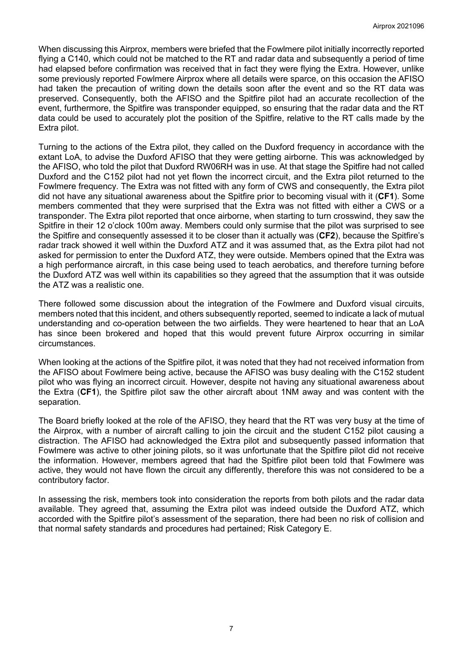When discussing this Airprox, members were briefed that the Fowlmere pilot initially incorrectly reported flying a C140, which could not be matched to the RT and radar data and subsequently a period of time had elapsed before confirmation was received that in fact they were flying the Extra. However, unlike some previously reported Fowlmere Airprox where all details were sparce, on this occasion the AFISO had taken the precaution of writing down the details soon after the event and so the RT data was preserved. Consequently, both the AFISO and the Spitfire pilot had an accurate recollection of the event, furthermore, the Spitfire was transponder equipped, so ensuring that the radar data and the RT data could be used to accurately plot the position of the Spitfire, relative to the RT calls made by the Extra pilot.

Turning to the actions of the Extra pilot, they called on the Duxford frequency in accordance with the extant LoA, to advise the Duxford AFISO that they were getting airborne. This was acknowledged by the AFISO, who told the pilot that Duxford RW06RH was in use. At that stage the Spitfire had not called Duxford and the C152 pilot had not yet flown the incorrect circuit, and the Extra pilot returned to the Fowlmere frequency. The Extra was not fitted with any form of CWS and consequently, the Extra pilot did not have any situational awareness about the Spitfire prior to becoming visual with it (**CF1**). Some members commented that they were surprised that the Extra was not fitted with either a CWS or a transponder. The Extra pilot reported that once airborne, when starting to turn crosswind, they saw the Spitfire in their 12 o'clock 100m away. Members could only surmise that the pilot was surprised to see the Spitfire and consequently assessed it to be closer than it actually was (**CF2**), because the Spitfire's radar track showed it well within the Duxford ATZ and it was assumed that, as the Extra pilot had not asked for permission to enter the Duxford ATZ, they were outside. Members opined that the Extra was a high performance aircraft, in this case being used to teach aerobatics, and therefore turning before the Duxford ATZ was well within its capabilities so they agreed that the assumption that it was outside the ATZ was a realistic one.

There followed some discussion about the integration of the Fowlmere and Duxford visual circuits, members noted that this incident, and others subsequently reported, seemed to indicate a lack of mutual understanding and co-operation between the two airfields. They were heartened to hear that an LoA has since been brokered and hoped that this would prevent future Airprox occurring in similar circumstances.

When looking at the actions of the Spitfire pilot, it was noted that they had not received information from the AFISO about Fowlmere being active, because the AFISO was busy dealing with the C152 student pilot who was flying an incorrect circuit. However, despite not having any situational awareness about the Extra (**CF1**), the Spitfire pilot saw the other aircraft about 1NM away and was content with the separation.

The Board briefly looked at the role of the AFISO, they heard that the RT was very busy at the time of the Airprox, with a number of aircraft calling to join the circuit and the student C152 pilot causing a distraction. The AFISO had acknowledged the Extra pilot and subsequently passed information that Fowlmere was active to other joining pilots, so it was unfortunate that the Spitfire pilot did not receive the information. However, members agreed that had the Spitfire pilot been told that Fowlmere was active, they would not have flown the circuit any differently, therefore this was not considered to be a contributory factor.

In assessing the risk, members took into consideration the reports from both pilots and the radar data available. They agreed that, assuming the Extra pilot was indeed outside the Duxford ATZ, which accorded with the Spitfire pilot's assessment of the separation, there had been no risk of collision and that normal safety standards and procedures had pertained; Risk Category E.